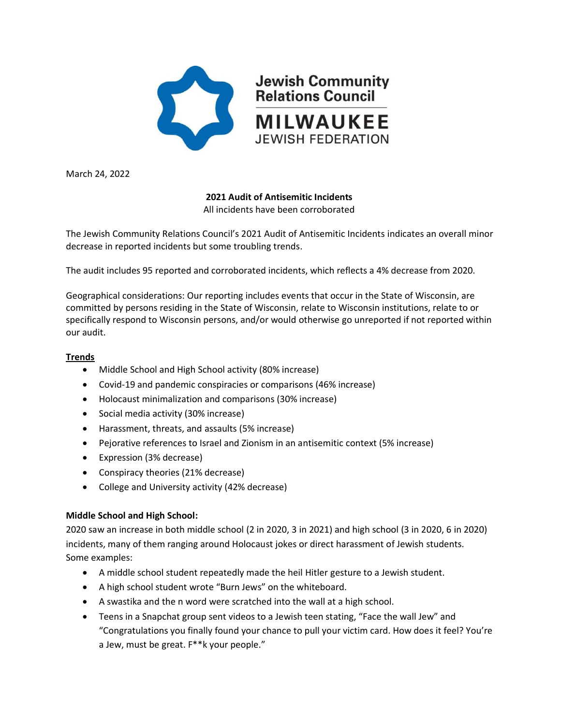

March 24, 2022

# **2021 Audit of Antisemitic Incidents**

All incidents have been corroborated

The Jewish Community Relations Council's 2021 Audit of Antisemitic Incidents indicates an overall minor decrease in reported incidents but some troubling trends.

The audit includes 95 reported and corroborated incidents, which reflects a 4% decrease from 2020.

Geographical considerations: Our reporting includes events that occur in the State of Wisconsin, are committed by persons residing in the State of Wisconsin, relate to Wisconsin institutions, relate to or specifically respond to Wisconsin persons, and/or would otherwise go unreported if not reported within our audit.

### **Trends**

- Middle School and High School activity (80% increase)
- Covid-19 and pandemic conspiracies or comparisons (46% increase)
- Holocaust minimalization and comparisons (30% increase)
- Social media activity (30% increase)
- Harassment, threats, and assaults (5% increase)
- Pejorative references to Israel and Zionism in an antisemitic context (5% increase)
- Expression (3% decrease)
- Conspiracy theories (21% decrease)
- College and University activity (42% decrease)

## **Middle School and High School:**

2020 saw an increase in both middle school (2 in 2020, 3 in 2021) and high school (3 in 2020, 6 in 2020) incidents, many of them ranging around Holocaust jokes or direct harassment of Jewish students. Some examples:

- A middle school student repeatedly made the heil Hitler gesture to a Jewish student.
- A high school student wrote "Burn Jews" on the whiteboard.
- A swastika and the n word were scratched into the wall at a high school.
- Teens in a Snapchat group sent videos to a Jewish teen stating, "Face the wall Jew" and "Congratulations you finally found your chance to pull your victim card. How does it feel? You're a Jew, must be great. F\*\*k your people."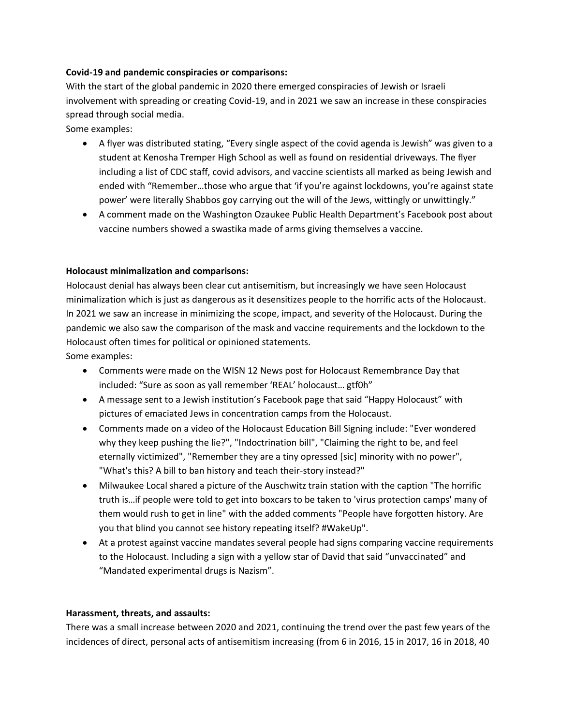### **Covid-19 and pandemic conspiracies or comparisons:**

With the start of the global pandemic in 2020 there emerged conspiracies of Jewish or Israeli involvement with spreading or creating Covid-19, and in 2021 we saw an increase in these conspiracies spread through social media.

Some examples:

- A flyer was distributed stating, "Every single aspect of the covid agenda is Jewish" was given to a student at Kenosha Tremper High School as well as found on residential driveways. The flyer including a list of CDC staff, covid advisors, and vaccine scientists all marked as being Jewish and ended with "Remember…those who argue that 'if you're against lockdowns, you're against state power' were literally Shabbos goy carrying out the will of the Jews, wittingly or unwittingly."
- A comment made on the Washington Ozaukee Public Health Department's Facebook post about vaccine numbers showed a swastika made of arms giving themselves a vaccine.

#### **Holocaust minimalization and comparisons:**

Holocaust denial has always been clear cut antisemitism, but increasingly we have seen Holocaust minimalization which is just as dangerous as it desensitizes people to the horrific acts of the Holocaust. In 2021 we saw an increase in minimizing the scope, impact, and severity of the Holocaust. During the pandemic we also saw the comparison of the mask and vaccine requirements and the lockdown to the Holocaust often times for political or opinioned statements.

Some examples:

- Comments were made on the WISN 12 News post for Holocaust Remembrance Day that included: "Sure as soon as yall remember 'REAL' holocaust… gtf0h"
- A message sent to a Jewish institution's Facebook page that said "Happy Holocaust" with pictures of emaciated Jews in concentration camps from the Holocaust.
- Comments made on a video of the Holocaust Education Bill Signing include: "Ever wondered why they keep pushing the lie?", "Indoctrination bill", "Claiming the right to be, and feel eternally victimized", "Remember they are a tiny opressed [sic] minority with no power", "What's this? A bill to ban history and teach their-story instead?"
- Milwaukee Local shared a picture of the Auschwitz train station with the caption "The horrific truth is…if people were told to get into boxcars to be taken to 'virus protection camps' many of them would rush to get in line" with the added comments "People have forgotten history. Are you that blind you cannot see history repeating itself? #WakeUp".
- At a protest against vaccine mandates several people had signs comparing vaccine requirements to the Holocaust. Including a sign with a yellow star of David that said "unvaccinated" and "Mandated experimental drugs is Nazism".

#### **Harassment, threats, and assaults:**

There was a small increase between 2020 and 2021, continuing the trend over the past few years of the incidences of direct, personal acts of antisemitism increasing (from 6 in 2016, 15 in 2017, 16 in 2018, 40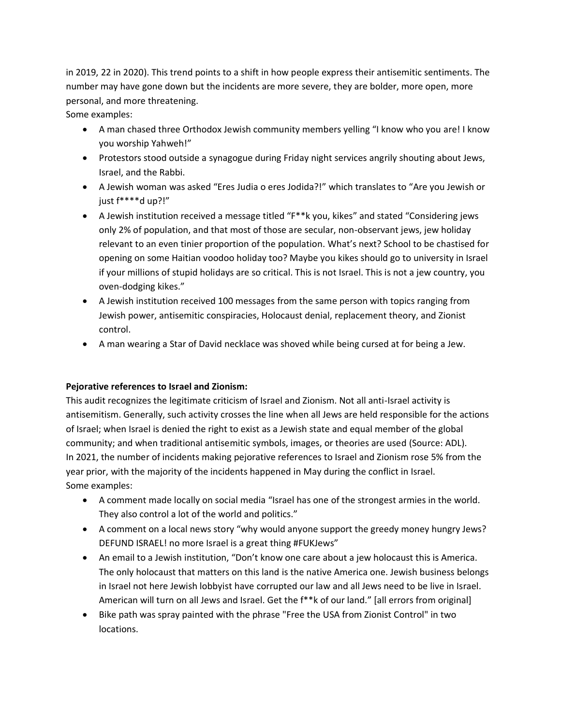in 2019, 22 in 2020). This trend points to a shift in how people express their antisemitic sentiments. The number may have gone down but the incidents are more severe, they are bolder, more open, more personal, and more threatening.

Some examples:

- A man chased three Orthodox Jewish community members yelling "I know who you are! I know you worship Yahweh!"
- Protestors stood outside a synagogue during Friday night services angrily shouting about Jews, Israel, and the Rabbi.
- A Jewish woman was asked "Eres Judia o eres Jodida?!" which translates to "Are you Jewish or just f\*\*\*\*d up?!"
- A Jewish institution received a message titled "F\*\*k you, kikes" and stated "Considering jews only 2% of population, and that most of those are secular, non-observant jews, jew holiday relevant to an even tinier proportion of the population. What's next? School to be chastised for opening on some Haitian voodoo holiday too? Maybe you kikes should go to university in Israel if your millions of stupid holidays are so critical. This is not Israel. This is not a jew country, you oven-dodging kikes."
- A Jewish institution received 100 messages from the same person with topics ranging from Jewish power, antisemitic conspiracies, Holocaust denial, replacement theory, and Zionist control.
- A man wearing a Star of David necklace was shoved while being cursed at for being a Jew.

## **Pejorative references to Israel and Zionism:**

This audit recognizes the legitimate criticism of Israel and Zionism. Not all anti-Israel activity is antisemitism. Generally, such activity crosses the line when all Jews are held responsible for the actions of Israel; when Israel is denied the right to exist as a Jewish state and equal member of the global community; and when traditional antisemitic symbols, images, or theories are used (Source: ADL). In 2021, the number of incidents making pejorative references to Israel and Zionism rose 5% from the year prior, with the majority of the incidents happened in May during the conflict in Israel. Some examples:

- A comment made locally on social media "Israel has one of the strongest armies in the world. They also control a lot of the world and politics."
- A comment on a local news story "why would anyone support the greedy money hungry Jews? DEFUND ISRAEL! no more Israel is a great thing #FUKJews"
- An email to a Jewish institution, "Don't know one care about a jew holocaust this is America. The only holocaust that matters on this land is the native America one. Jewish business belongs in Israel not here Jewish lobbyist have corrupted our law and all Jews need to be live in Israel. American will turn on all Jews and Israel. Get the f\*\*k of our land." [all errors from original]
- Bike path was spray painted with the phrase "Free the USA from Zionist Control" in two locations.